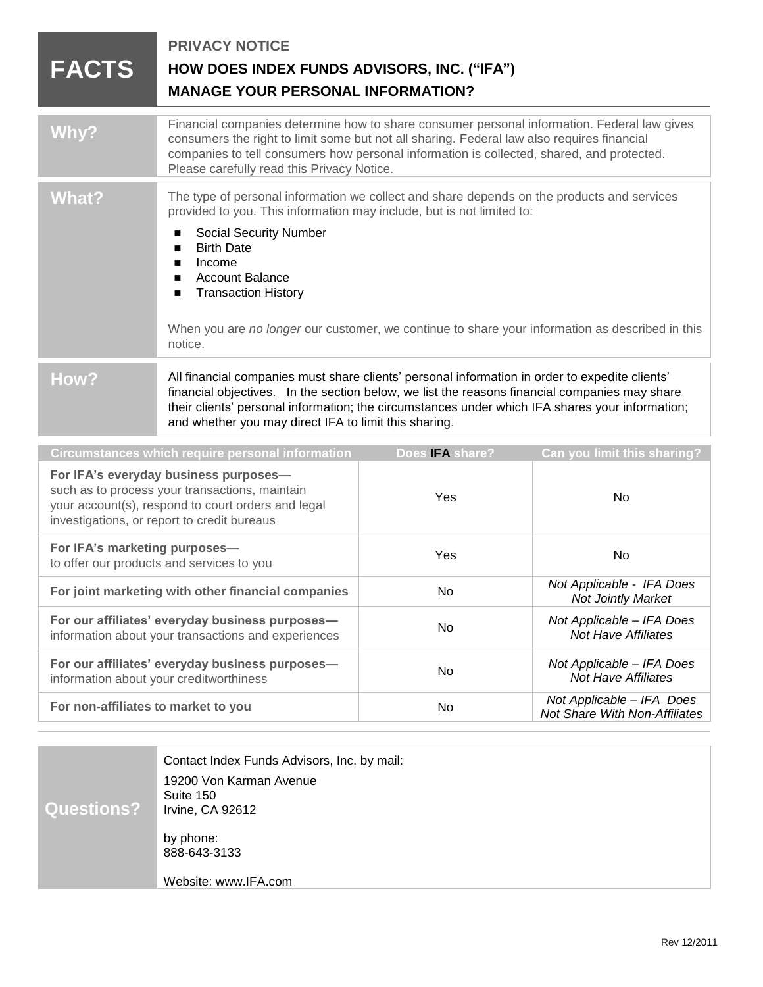| <b>FACTS</b>                                                                                                                                                                                 | <b>PRIVACY NOTICE</b><br>HOW DOES INDEX FUNDS ADVISORS, INC. ("IFA")<br><b>MANAGE YOUR PERSONAL INFORMATION?</b>                                                                                                                                                                                                                                                                                                              |                 |                                                            |
|----------------------------------------------------------------------------------------------------------------------------------------------------------------------------------------------|-------------------------------------------------------------------------------------------------------------------------------------------------------------------------------------------------------------------------------------------------------------------------------------------------------------------------------------------------------------------------------------------------------------------------------|-----------------|------------------------------------------------------------|
| Why?                                                                                                                                                                                         | Financial companies determine how to share consumer personal information. Federal law gives<br>consumers the right to limit some but not all sharing. Federal law also requires financial<br>companies to tell consumers how personal information is collected, shared, and protected.<br>Please carefully read this Privacy Notice.                                                                                          |                 |                                                            |
| <b>What?</b>                                                                                                                                                                                 | The type of personal information we collect and share depends on the products and services<br>provided to you. This information may include, but is not limited to:<br><b>Social Security Number</b><br><b>Birth Date</b><br>п<br>Income<br>п<br><b>Account Balance</b><br>п<br><b>Transaction History</b><br>п<br>When you are no longer our customer, we continue to share your information as described in this<br>notice. |                 |                                                            |
| How?                                                                                                                                                                                         | All financial companies must share clients' personal information in order to expedite clients'<br>financial objectives. In the section below, we list the reasons financial companies may share<br>their clients' personal information; the circumstances under which IFA shares your information;<br>and whether you may direct IFA to limit this sharing.                                                                   |                 |                                                            |
| <b>Circumstances which require personal information</b>                                                                                                                                      |                                                                                                                                                                                                                                                                                                                                                                                                                               | Does IFA share? | Can you limit this sharing?                                |
| For IFA's everyday business purposes-<br>such as to process your transactions, maintain<br>your account(s), respond to court orders and legal<br>investigations, or report to credit bureaus |                                                                                                                                                                                                                                                                                                                                                                                                                               | Yes             | No                                                         |
| For IFA's marketing purposes-<br>to offer our products and services to you                                                                                                                   |                                                                                                                                                                                                                                                                                                                                                                                                                               | Yes             | No                                                         |
| For joint marketing with other financial companies                                                                                                                                           |                                                                                                                                                                                                                                                                                                                                                                                                                               | No              | Not Applicable - IFA Does<br><b>Not Jointly Market</b>     |
| For our affiliates' everyday business purposes-<br>information about your transactions and experiences                                                                                       |                                                                                                                                                                                                                                                                                                                                                                                                                               | No              | Not Applicable - IFA Does<br><b>Not Have Affiliates</b>    |
| For our affiliates' everyday business purposes-<br>information about your creditworthiness                                                                                                   |                                                                                                                                                                                                                                                                                                                                                                                                                               | No              | Not Applicable - IFA Does<br><b>Not Have Affiliates</b>    |
| For non-affiliates to market to you                                                                                                                                                          |                                                                                                                                                                                                                                                                                                                                                                                                                               | No              | Not Applicable - IFA Does<br>Not Share With Non-Affiliates |

| Questions? | Contact Index Funds Advisors, Inc. by mail:<br>19200 Von Karman Avenue<br>Suite 150<br>Irvine, CA 92612 |
|------------|---------------------------------------------------------------------------------------------------------|
|            | by phone:<br>888-643-3133<br>Website: www.IFA.com                                                       |